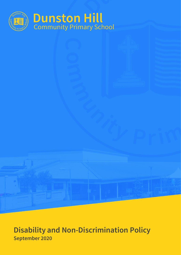

# **Disability and Non-Discrimination Policy September 2020**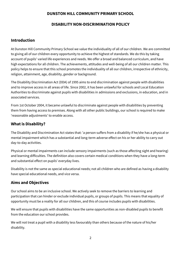#### **DUNSTON HILL COMMUNITY PRIMARY SCHOOL**

#### **DISABILITY NON-DISCRIMINATION POLICY**

## **Introduction**

At Dunston Hill Community Primary School we value the individuality of all of our children. We are committed to giving all of our children every opportunity to achieve the highest of standards. We do this by taking account of pupils' varied life experiences and needs. We offer a broad and balanced curriculum, and have high expectations for all children. The achievements, attitudes and well-being of all our children matter. This policy helps to ensure that this school promotes the individuality of all our children, irrespective of ethnicity, religion, attainment, age, disability, gender or background.

The Disability Discrimination Act (DDA) of 1995 aims to end discrimination against people with disabilities and to improve access in all areas of life. Since 2002, it has been unlawful for schools and Local Education Authorities to discriminate against pupils with disabilities in admissions and exclusions, in education, and in associated services.

From 1st October 2004, it became unlawful to discriminate against people with disabilities by preventing them from having access to premises. Along with all other public buildings, our school is required to make 'reasonable adjustments' to enable access.

# **What is Disability?**

The Disability and Discrimination Act states that: 'a person suffers from a disability if he/she has a physical or mental impairment which has a substantial and long-term adverse effect on his or her ability to carry out day-to-day activities.

Physical or mental impairments can include sensory impairments (such as those affecting sight and hearing) and learning difficulties. The definition also covers certain medical conditions when they have a long-term and substantial effect on pupils' everyday lives.

Disability is not the same as special educational needs; not all children who are defined as having a disability have special educational needs, and vice versa.

# **Aims and Objectives**

Our school aims to be an inclusive school. We actively seek to remove the barriers to learning and participation that can hinder or exclude individual pupils, or groups of pupils. This means that equality of opportunity must be a reality for all our children, and this of course includes pupils with disabilities.

We will ensure that pupils with disabilities have the same opportunities as non-disabled pupils to benefit from the education our school provides.

We will not treat a pupil with a disability less favourably than others because of the nature of his/her disability.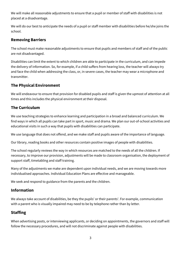We will make all reasonable adjustments to ensure that a pupil or member of staff with disabilities is not placed at a disadvantage.

We will do our best to anticipate the needs of a pupil or staff member with disabilities before he/she joins the school.

## **Removing Barriers**

The school must make reasonable adjustments to ensure that pupils and members of staff and of the public are not disadvantaged.

Disabilities can limit the extent to which children are able to participate in the curriculum, and can impede the delivery of information. So, for example, if a child suffers from hearing loss, the teacher will always try and face the child when addressing the class, or, in severe cases, the teacher may wear a microphone and transmitter.

## **The Physical Environment**

We will endeavour to ensure that provision for disabled pupils and staff is given the upmost of attention at all times and this includes the physical environment at their disposal.

# **The Curriculum**

We use teaching strategies to enhance learning and participation in a broad and balanced curriculum. We find ways in which all pupils can take part in sport, music and drama. We plan our out-of-school activities and educational visits in such a way that pupils with disabilities can participate.

We use language that does not offend, and we make staff and pupils aware of the importance of language.

Our library, reading books and other resources contain positive images of people with disabilities.

The school regularly reviews the way in which resources are matched to the needs of all the children. If necessary, to improve our provision, adjustments will be made to classroom organisation, the deployment of support staff, timetabling and staff training.

Many of the adjustments we make are dependent upon individual needs, and we are moving towards more individualised approaches. Individual Education Plans are effective and manageable.

We seek and respond to guidance from the parents and the children.

#### **Information**

We always take account of disabilities, be they the pupils' or their parents'. For example, communication with a parent who is visually impaired may need to be by telephone rather than by letter.

# **Staffing**

When advertising posts, or interviewing applicants, or deciding on appointments, the governors and staff will follow the necessary procedures, and will not discriminate against people with disabilities.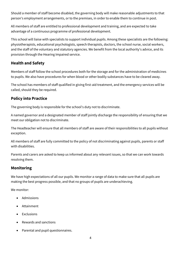Should a member of staff become disabled, the governing body will make reasonable adjustments to that person's employment arrangements, or to the premises, in order to enable them to continue in post.

All members of staff are entitled to professional development and training, and are expected to take advantage of a continuous programme of professional development.

This school will liaise with specialists to support individual pupils. Among these specialists are the following: physiotherapists, educational psychologists, speech therapists, doctors, the school nurse, social workers, and the staff of the voluntary and statutory agencies. We benefit from the local authority's advice, and its provision through the Hearing Impaired service.

## **Health and Safety**

Members of staff follow the school procedures both for the storage and for the administration of medicines to pupils. We also have procedures for when blood or other bodily substances have to be cleared away.

The school has members of staff qualified in giving first-aid treatment, and the emergency services will be called, should they be required.

# **Policy into Practice**

The governing body is responsible for the school's duty not to discriminate.

A named governor and a designated member of staff jointly discharge the responsibility of ensuring that we meet our obligation not to discriminate.

The Headteacher will ensure that all members of staff are aware of their responsibilities to all pupils without exception.

All members of staff are fully committed to the policy of not discriminating against pupils, parents or staff with disabilities.

Parents and carers are asked to keep us informed about any relevant issues, so that we can work towards resolving them.

#### **Monitoring**

We have high expectations of all our pupils. We monitor a range of data to make sure that all pupils are making the best progress possible, and that no groups of pupils are underachieving.

We monitor:

- Admissions
- **Attainment**
- Exclusions
- Rewards and sanctions
- Parental and pupil questionnaires.